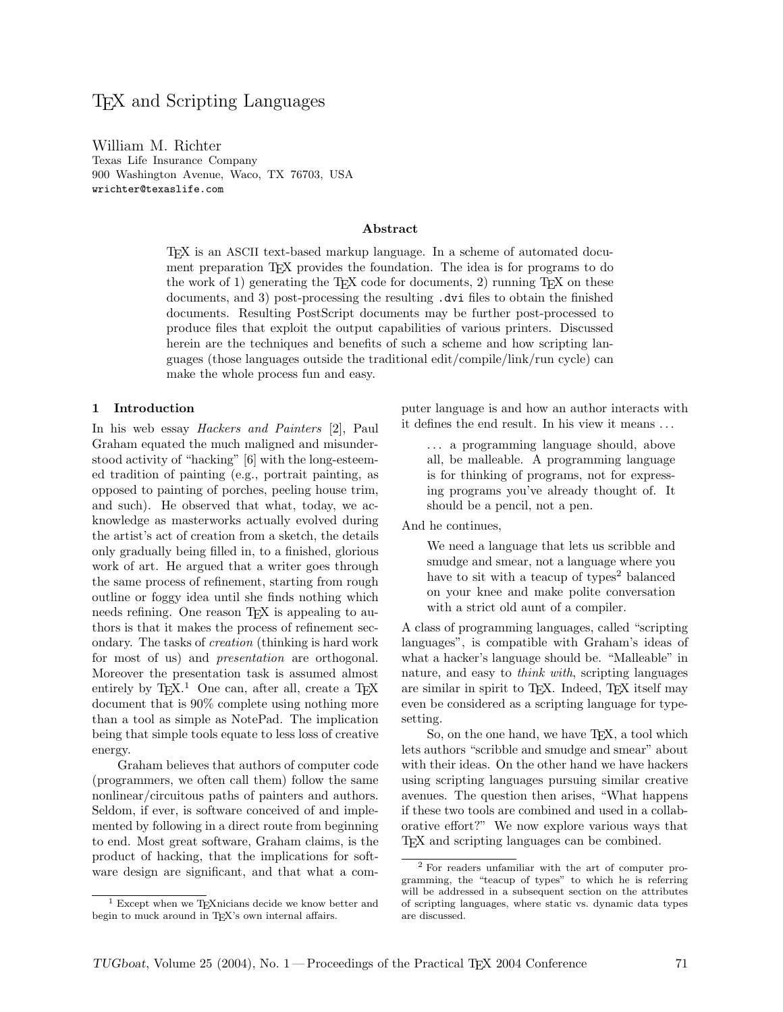# TEX and Scripting Languages

William M. Richter Texas Life Insurance Company 900 Washington Avenue, Waco, TX 76703, USA wrichter@texaslife.com

#### Abstract

TEX is an ASCII text-based markup language. In a scheme of automated document preparation T<sub>EX</sub> provides the foundation. The idea is for programs to do the work of 1) generating the T<sub>EX</sub> code for documents, 2) running T<sub>EX</sub> on these documents, and 3) post-processing the resulting .dvi files to obtain the finished documents. Resulting PostScript documents may be further post-processed to produce files that exploit the output capabilities of various printers. Discussed herein are the techniques and benefits of such a scheme and how scripting languages (those languages outside the traditional edit/compile/link/run cycle) can make the whole process fun and easy.

#### 1 Introduction

In his web essay Hackers and Painters [2], Paul Graham equated the much maligned and misunderstood activity of "hacking" [6] with the long-esteemed tradition of painting (e.g., portrait painting, as opposed to painting of porches, peeling house trim, and such). He observed that what, today, we acknowledge as masterworks actually evolved during the artist's act of creation from a sketch, the details only gradually being filled in, to a finished, glorious work of art. He argued that a writer goes through the same process of refinement, starting from rough outline or foggy idea until she finds nothing which needs refining. One reason T<sub>E</sub>X is appealing to authors is that it makes the process of refinement secondary. The tasks of creation (thinking is hard work for most of us) and presentation are orthogonal. Moreover the presentation task is assumed almost entirely by TEX.<sup>1</sup> One can, after all, create a TEX document that is 90% complete using nothing more than a tool as simple as NotePad. The implication being that simple tools equate to less loss of creative energy.

Graham believes that authors of computer code (programmers, we often call them) follow the same nonlinear/circuitous paths of painters and authors. Seldom, if ever, is software conceived of and implemented by following in a direct route from beginning to end. Most great software, Graham claims, is the product of hacking, that the implications for software design are significant, and that what a computer language is and how an author interacts with it defines the end result. In his view it means . . .

. . . a programming language should, above all, be malleable. A programming language is for thinking of programs, not for expressing programs you've already thought of. It should be a pencil, not a pen.

And he continues,

We need a language that lets us scribble and smudge and smear, not a language where you have to sit with a teacup of types<sup>2</sup> balanced on your knee and make polite conversation with a strict old aunt of a compiler.

A class of programming languages, called "scripting languages", is compatible with Graham's ideas of what a hacker's language should be. "Malleable" in nature, and easy to *think with*, scripting languages are similar in spirit to TEX. Indeed, TEX itself may even be considered as a scripting language for typesetting.

So, on the one hand, we have T<sub>F</sub>X, a tool which lets authors "scribble and smudge and smear" about with their ideas. On the other hand we have hackers using scripting languages pursuing similar creative avenues. The question then arises, "What happens if these two tools are combined and used in a collaborative effort?" We now explore various ways that TEX and scripting languages can be combined.

<sup>&</sup>lt;sup>1</sup> Except when we T<sub>E</sub>Xnicians decide we know better and begin to muck around in T<sub>E</sub>X's own internal affairs.

<sup>2</sup> For readers unfamiliar with the art of computer programming, the "teacup of types" to which he is referring will be addressed in a subsequent section on the attributes of scripting languages, where static vs. dynamic data types are discussed.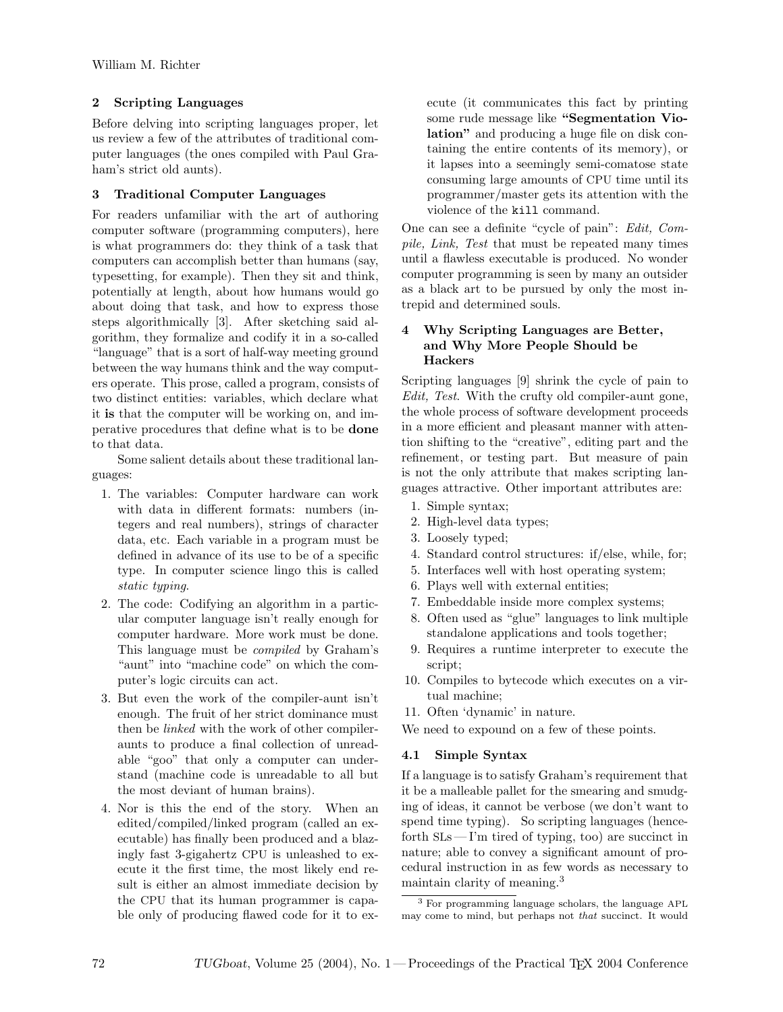# 2 Scripting Languages

Before delving into scripting languages proper, let us review a few of the attributes of traditional computer languages (the ones compiled with Paul Graham's strict old aunts).

# 3 Traditional Computer Languages

For readers unfamiliar with the art of authoring computer software (programming computers), here is what programmers do: they think of a task that computers can accomplish better than humans (say, typesetting, for example). Then they sit and think, potentially at length, about how humans would go about doing that task, and how to express those steps algorithmically [3]. After sketching said algorithm, they formalize and codify it in a so-called "language" that is a sort of half-way meeting ground between the way humans think and the way computers operate. This prose, called a program, consists of two distinct entities: variables, which declare what it is that the computer will be working on, and imperative procedures that define what is to be done to that data.

Some salient details about these traditional languages:

- 1. The variables: Computer hardware can work with data in different formats: numbers (integers and real numbers), strings of character data, etc. Each variable in a program must be defined in advance of its use to be of a specific type. In computer science lingo this is called static typing.
- 2. The code: Codifying an algorithm in a particular computer language isn't really enough for computer hardware. More work must be done. This language must be compiled by Graham's "aunt" into "machine code" on which the computer's logic circuits can act.
- 3. But even the work of the compiler-aunt isn't enough. The fruit of her strict dominance must then be linked with the work of other compileraunts to produce a final collection of unreadable "goo" that only a computer can understand (machine code is unreadable to all but the most deviant of human brains).
- 4. Nor is this the end of the story. When an edited/compiled/linked program (called an executable) has finally been produced and a blazingly fast 3-gigahertz CPU is unleashed to execute it the first time, the most likely end result is either an almost immediate decision by the CPU that its human programmer is capable only of producing flawed code for it to ex-

ecute (it communicates this fact by printing some rude message like "Segmentation Violation" and producing a huge file on disk containing the entire contents of its memory), or it lapses into a seemingly semi-comatose state consuming large amounts of CPU time until its programmer/master gets its attention with the violence of the kill command.

One can see a definite "cycle of pain": Edit, Compile, Link, Test that must be repeated many times until a flawless executable is produced. No wonder computer programming is seen by many an outsider as a black art to be pursued by only the most intrepid and determined souls.

# 4 Why Scripting Languages are Better, and Why More People Should be Hackers

Scripting languages [9] shrink the cycle of pain to Edit, Test. With the crufty old compiler-aunt gone, the whole process of software development proceeds in a more efficient and pleasant manner with attention shifting to the "creative", editing part and the refinement, or testing part. But measure of pain is not the only attribute that makes scripting languages attractive. Other important attributes are:

- 1. Simple syntax;
- 2. High-level data types;
- 3. Loosely typed;
- 4. Standard control structures: if/else, while, for;
- 5. Interfaces well with host operating system;
- 6. Plays well with external entities;
- 7. Embeddable inside more complex systems;
- 8. Often used as "glue" languages to link multiple standalone applications and tools together;
- 9. Requires a runtime interpreter to execute the script;
- 10. Compiles to bytecode which executes on a virtual machine;
- 11. Often 'dynamic' in nature.

We need to expound on a few of these points.

# 4.1 Simple Syntax

If a language is to satisfy Graham's requirement that it be a malleable pallet for the smearing and smudging of ideas, it cannot be verbose (we don't want to spend time typing). So scripting languages (henceforth SLs— I'm tired of typing, too) are succinct in nature; able to convey a significant amount of procedural instruction in as few words as necessary to maintain clarity of meaning.<sup>3</sup>

<sup>3</sup> For programming language scholars, the language APL may come to mind, but perhaps not that succinct. It would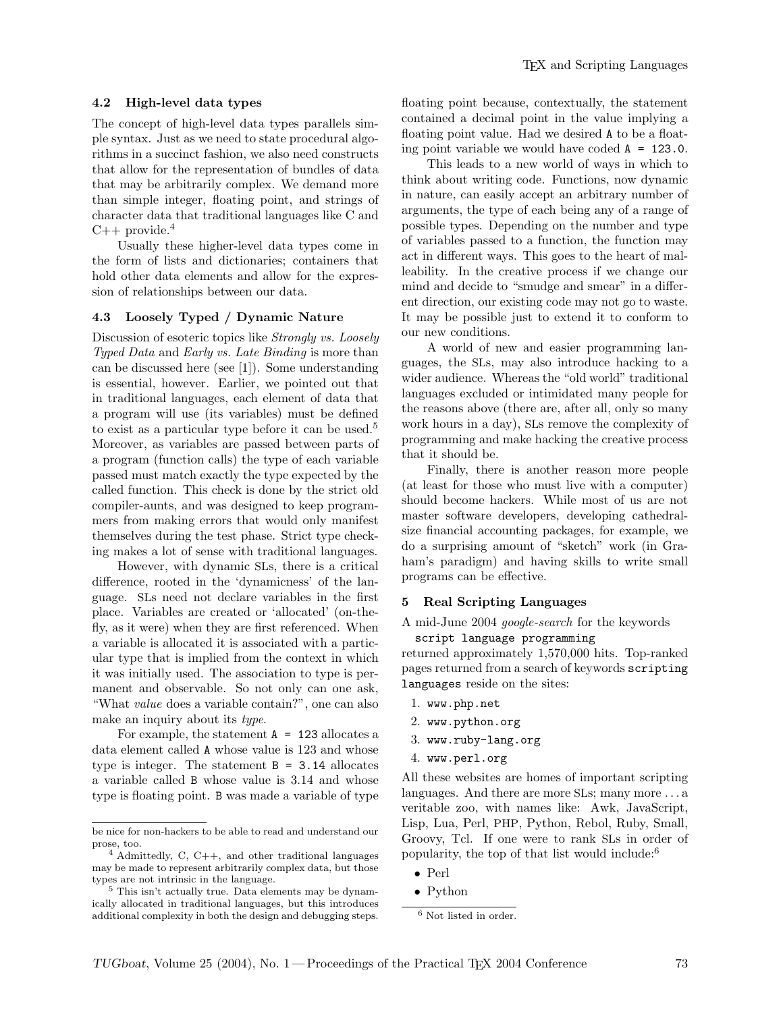## 4.2 High-level data types

The concept of high-level data types parallels simple syntax. Just as we need to state procedural algorithms in a succinct fashion, we also need constructs that allow for the representation of bundles of data that may be arbitrarily complex. We demand more than simple integer, floating point, and strings of character data that traditional languages like C and  $C++$  provide.<sup>4</sup>

Usually these higher-level data types come in the form of lists and dictionaries; containers that hold other data elements and allow for the expression of relationships between our data.

#### 4.3 Loosely Typed / Dynamic Nature

Discussion of esoteric topics like Strongly vs. Loosely Typed Data and Early vs. Late Binding is more than can be discussed here (see [1]). Some understanding is essential, however. Earlier, we pointed out that in traditional languages, each element of data that a program will use (its variables) must be defined to exist as a particular type before it can be used.<sup>5</sup> Moreover, as variables are passed between parts of a program (function calls) the type of each variable passed must match exactly the type expected by the called function. This check is done by the strict old compiler-aunts, and was designed to keep programmers from making errors that would only manifest themselves during the test phase. Strict type checking makes a lot of sense with traditional languages.

However, with dynamic SLs, there is a critical difference, rooted in the 'dynamicness' of the language. SLs need not declare variables in the first place. Variables are created or 'allocated' (on-thefly, as it were) when they are first referenced. When a variable is allocated it is associated with a particular type that is implied from the context in which it was initially used. The association to type is permanent and observable. So not only can one ask, "What value does a variable contain?", one can also make an inquiry about its type.

For example, the statement  $A = 123$  allocates a data element called A whose value is 123 and whose type is integer. The statement  $B = 3.14$  allocates a variable called B whose value is 3.14 and whose type is floating point. B was made a variable of type floating point because, contextually, the statement contained a decimal point in the value implying a floating point value. Had we desired A to be a floating point variable we would have coded  $A = 123.0$ .

This leads to a new world of ways in which to think about writing code. Functions, now dynamic in nature, can easily accept an arbitrary number of arguments, the type of each being any of a range of possible types. Depending on the number and type of variables passed to a function, the function may act in different ways. This goes to the heart of malleability. In the creative process if we change our mind and decide to "smudge and smear" in a different direction, our existing code may not go to waste. It may be possible just to extend it to conform to our new conditions.

A world of new and easier programming languages, the SLs, may also introduce hacking to a wider audience. Whereas the "old world" traditional languages excluded or intimidated many people for the reasons above (there are, after all, only so many work hours in a day), SLs remove the complexity of programming and make hacking the creative process that it should be.

Finally, there is another reason more people (at least for those who must live with a computer) should become hackers. While most of us are not master software developers, developing cathedralsize financial accounting packages, for example, we do a surprising amount of "sketch" work (in Graham's paradigm) and having skills to write small programs can be effective.

## 5 Real Scripting Languages

A mid-June 2004 google-search for the keywords script language programming

returned approximately 1,570,000 hits. Top-ranked pages returned from a search of keywords scripting languages reside on the sites:

- 1. www.php.net
- 2. www.python.org
- 3. www.ruby-lang.org
- 4. www.perl.org

All these websites are homes of important scripting languages. And there are more SLs; many more . . . a veritable zoo, with names like: Awk, JavaScript, Lisp, Lua, Perl, PHP, Python, Rebol, Ruby, Small, Groovy, Tcl. If one were to rank SLs in order of popularity, the top of that list would include:<sup>6</sup>

- Perl
- Python

be nice for non-hackers to be able to read and understand our prose, too.

<sup>4</sup> Admittedly, C, C++, and other traditional languages may be made to represent arbitrarily complex data, but those types are not intrinsic in the language.

<sup>5</sup> This isn't actually true. Data elements may be dynamically allocated in traditional languages, but this introduces additional complexity in both the design and debugging steps.

<sup>6</sup> Not listed in order.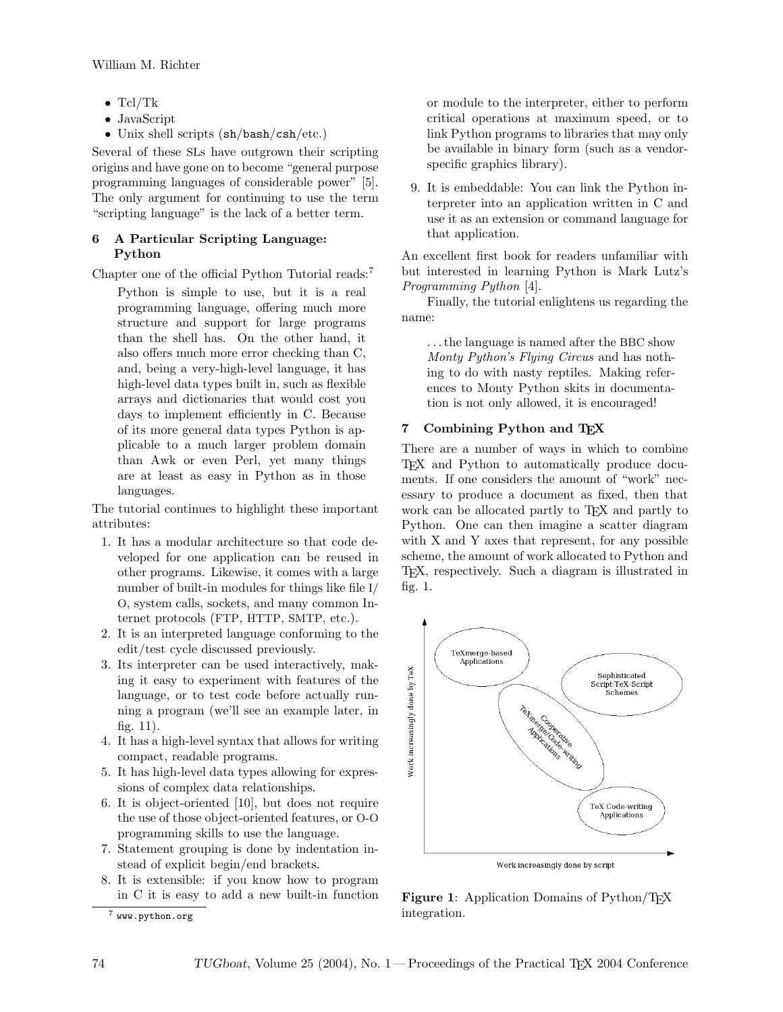- Tcl/Tk
- JavaScript
- Unix shell scripts (sh/bash/csh/etc.)

Several of these SLs have outgrown their scripting origins and have gone on to become "general purpose programming languages of considerable power" [5]. The only argument for continuing to use the term "scripting language" is the lack of a better term.

# 6 A Particular Scripting Language: Python

Chapter one of the official Python Tutorial reads:<sup>7</sup>

Python is simple to use, but it is a real programming language, offering much more structure and support for large programs than the shell has. On the other hand, it also offers much more error checking than C, and, being a very-high-level language, it has high-level data types built in, such as flexible arrays and dictionaries that would cost you days to implement efficiently in C. Because of its more general data types Python is applicable to a much larger problem domain than Awk or even Perl, yet many things are at least as easy in Python as in those languages.

The tutorial continues to highlight these important attributes:

- 1. It has a modular architecture so that code developed for one application can be reused in other programs. Likewise, it comes with a large number of built-in modules for things like file I/ O, system calls, sockets, and many common Internet protocols (FTP, HTTP, SMTP, etc.).
- 2. It is an interpreted language conforming to the edit/test cycle discussed previously.
- 3. Its interpreter can be used interactively, making it easy to experiment with features of the language, or to test code before actually running a program (we'll see an example later, in fig. 11).
- 4. It has a high-level syntax that allows for writing compact, readable programs.
- 5. It has high-level data types allowing for expressions of complex data relationships.
- 6. It is object-oriented [10], but does not require the use of those object-oriented features, or O-O programming skills to use the language.
- 7. Statement grouping is done by indentation instead of explicit begin/end brackets.
- 8. It is extensible: if you know how to program in C it is easy to add a new built-in function

or module to the interpreter, either to perform critical operations at maximum speed, or to link Python programs to libraries that may only be available in binary form (such as a vendorspecific graphics library).

9. It is embeddable: You can link the Python interpreter into an application written in C and use it as an extension or command language for that application.

An excellent first book for readers unfamiliar with but interested in learning Python is Mark Lutz's Programming Python [4].

Finally, the tutorial enlightens us regarding the name:

. . . the language is named after the BBC show Monty Python's Flying Circus and has nothing to do with nasty reptiles. Making references to Monty Python skits in documentation is not only allowed, it is encouraged!

# 7 Combining Python and TEX

There are a number of ways in which to combine TEX and Python to automatically produce documents. If one considers the amount of "work" necessary to produce a document as fixed, then that work can be allocated partly to T<sub>EX</sub> and partly to Python. One can then imagine a scatter diagram with X and Y axes that represent, for any possible scheme, the amount of work allocated to Python and TEX, respectively. Such a diagram is illustrated in fig. 1.



Figure 1: Application Domains of Python/T<sub>F</sub>X integration.

 $7$  www.python.org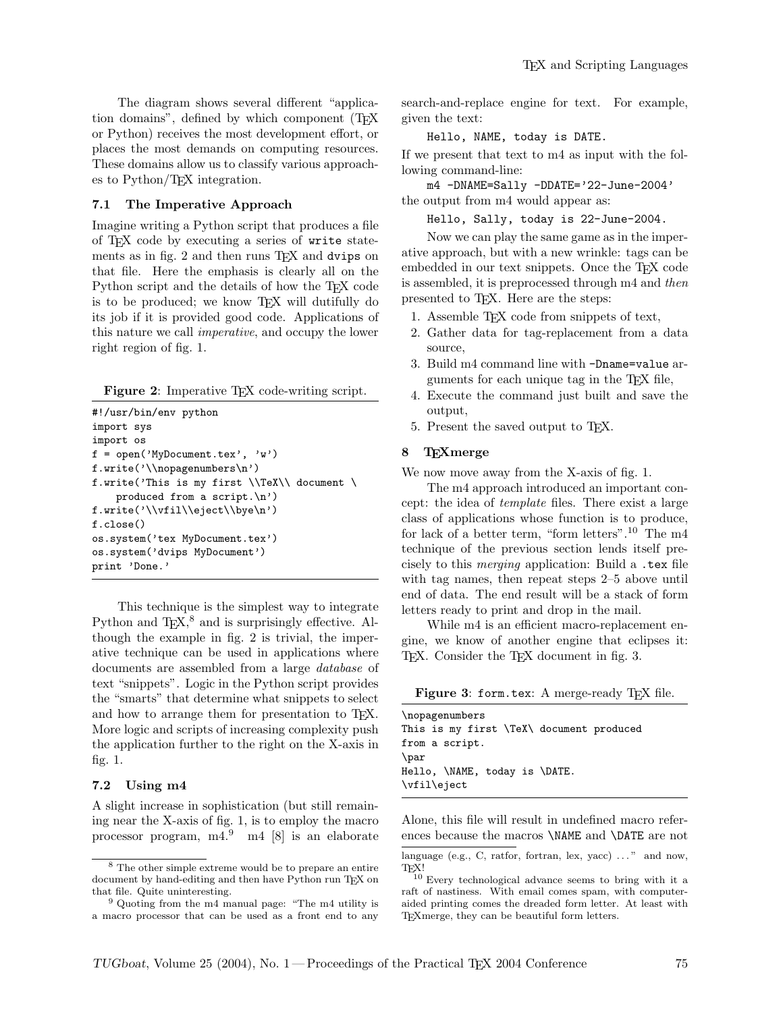The diagram shows several different "application domains", defined by which component (TEX or Python) receives the most development effort, or places the most demands on computing resources. These domains allow us to classify various approaches to Python/TEX integration.

#### 7.1 The Imperative Approach

Imagine writing a Python script that produces a file of TEX code by executing a series of write statements as in fig. 2 and then runs T<sub>F</sub>X and dvips on that file. Here the emphasis is clearly all on the Python script and the details of how the T<sub>EX</sub> code is to be produced; we know TEX will dutifully do its job if it is provided good code. Applications of this nature we call imperative, and occupy the lower right region of fig. 1.

Figure 2: Imperative T<sub>EX</sub> code-writing script.

```
#!/usr/bin/env python
import sys
import os
f = open('MyDocument.tex', 'w')f.write('\\nopagenumbers\n')
f.write('This is my first \\TeX\\ document \
   produced from a script.\n')
f.write('\\vfil\\eject\\bye\n')
f.close()
os.system('tex MyDocument.tex')
os.system('dvips MyDocument')
print 'Done.'
```
This technique is the simplest way to integrate Python and TEX,<sup>8</sup> and is surprisingly effective. Although the example in fig. 2 is trivial, the imperative technique can be used in applications where documents are assembled from a large database of text "snippets". Logic in the Python script provides the "smarts" that determine what snippets to select and how to arrange them for presentation to TEX. More logic and scripts of increasing complexity push the application further to the right on the X-axis in fig. 1.

#### 7.2 Using m4

A slight increase in sophistication (but still remaining near the X-axis of fig. 1, is to employ the macro processor program, m4.<sup>9</sup> m4 [8] is an elaborate search-and-replace engine for text. For example, given the text:

#### Hello, NAME, today is DATE.

If we present that text to m4 as input with the following command-line:

m4 -DNAME=Sally -DDATE='22-June-2004'

the output from m4 would appear as:

Hello, Sally, today is 22-June-2004.

Now we can play the same game as in the imperative approach, but with a new wrinkle: tags can be embedded in our text snippets. Once the TEX code is assembled, it is preprocessed through m4 and then presented to TEX. Here are the steps:

- 1. Assemble TEX code from snippets of text,
- 2. Gather data for tag-replacement from a data source,
- 3. Build m4 command line with -Dname=value arguments for each unique tag in the TEX file,
- 4. Execute the command just built and save the output,
- 5. Present the saved output to TEX.

#### 8 TEXmerge

We now move away from the X-axis of fig. 1.

The m4 approach introduced an important concept: the idea of template files. There exist a large class of applications whose function is to produce, for lack of a better term, "form letters".<sup>10</sup> The m4 technique of the previous section lends itself precisely to this merging application: Build a .tex file with tag names, then repeat steps 2–5 above until end of data. The end result will be a stack of form letters ready to print and drop in the mail.

While m4 is an efficient macro-replacement engine, we know of another engine that eclipses it: TEX. Consider the TEX document in fig. 3.

Figure 3: form.tex: A merge-ready TEX file.

| \nopagenumbers                           |
|------------------------------------------|
| This is my first \TeX\ document produced |
| from a script.                           |
| $\bar{p}$                                |
| Hello, \NAME, today is \DATE.            |
| \vfil\eject                              |

Alone, this file will result in undefined macro references because the macros \NAME and \DATE are not

<sup>8</sup> The other simple extreme would be to prepare an entire document by hand-editing and then have Python run TEX on that file. Quite uninteresting.

<sup>9</sup> Quoting from the m4 manual page: "The m4 utility is a macro processor that can be used as a front end to any

language (e.g., C, ratfor, fortran, lex, yacc)  $\dots$ " and now, T<sub>E</sub>X!

<sup>10</sup> Every technological advance seems to bring with it a raft of nastiness. With email comes spam, with computeraided printing comes the dreaded form letter. At least with TEXmerge, they can be beautiful form letters.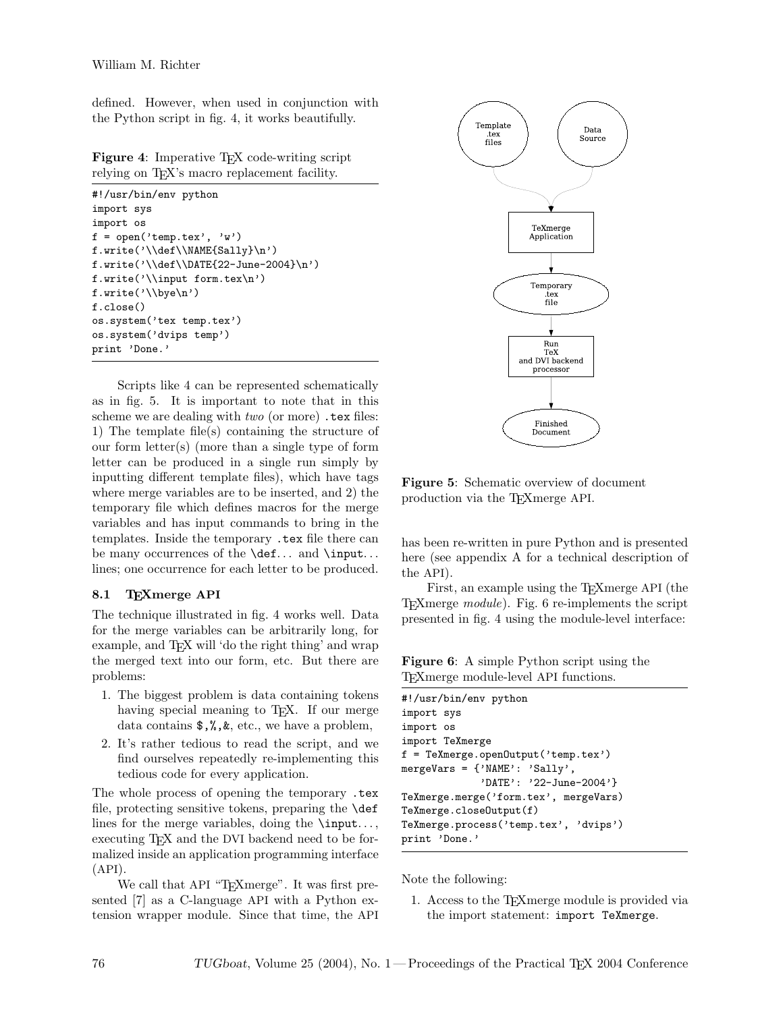defined. However, when used in conjunction with the Python script in fig. 4, it works beautifully.

Figure 4: Imperative T<sub>F</sub>X code-writing script relying on T<sub>E</sub>X's macro replacement facility.

```
#!/usr/bin/env python
import sys
import os
f = open('temp.tex', 'w')f.write('\\def\\NAME{Sally}\n')
f.write('\\def\\DATE{22-June-2004}\n')
f.write('\\input form.tex\n')
f.write('\\bye\n')
f.close()
os.system('tex temp.tex')
os.system('dvips temp')
print 'Done.'
```
Scripts like 4 can be represented schematically as in fig. 5. It is important to note that in this scheme we are dealing with  $two$  (or more)  $text$  tex files: 1) The template file(s) containing the structure of our form letter(s) (more than a single type of form letter can be produced in a single run simply by inputting different template files), which have tags where merge variables are to be inserted, and 2) the temporary file which defines macros for the merge variables and has input commands to bring in the templates. Inside the temporary .tex file there can be many occurrences of the **\def...** and **\input...** lines; one occurrence for each letter to be produced.

#### 8.1 TEXmerge API

The technique illustrated in fig. 4 works well. Data for the merge variables can be arbitrarily long, for example, and TEX will 'do the right thing' and wrap the merged text into our form, etc. But there are problems:

- 1. The biggest problem is data containing tokens having special meaning to T<sub>E</sub>X. If our merge data contains \$,%,&, etc., we have a problem,
- 2. It's rather tedious to read the script, and we find ourselves repeatedly re-implementing this tedious code for every application.

The whole process of opening the temporary .tex file, protecting sensitive tokens, preparing the \def lines for the merge variables, doing the  $\infty$ ... executing T<sub>F</sub>X and the DVI backend need to be formalized inside an application programming interface  $(API).$ 

We call that API "TEXmerge". It was first presented [7] as a C-language API with a Python extension wrapper module. Since that time, the API



Figure 5: Schematic overview of document production via the TEXmerge API.

has been re-written in pure Python and is presented here (see appendix A for a technical description of the API).

First, an example using the T<sub>E</sub>Xmerge API (the TEXmerge module). Fig. 6 re-implements the script presented in fig. 4 using the module-level interface:

Figure 6: A simple Python script using the TEXmerge module-level API functions.

| #!/usr/bin/env python                                |  |  |  |  |
|------------------------------------------------------|--|--|--|--|
| import sys                                           |  |  |  |  |
| import os                                            |  |  |  |  |
| import TeXmerge                                      |  |  |  |  |
| $f = \text{Tekmerge.openOutput}(\text{'temp.text'})$ |  |  |  |  |
| mergeVars = ${\text{'}\text{NAME'}}$ : 'Sally',      |  |  |  |  |
| 'DATE': '22-June-2004'}                              |  |  |  |  |
| TeXmerge.merge('form.tex', mergeVars)                |  |  |  |  |
| TeXmerge.closeOutput(f)                              |  |  |  |  |
| TeXmerge.process('temp.tex', 'dvips')                |  |  |  |  |
| print 'Done.'                                        |  |  |  |  |

Note the following:

1. Access to the TEXmerge module is provided via the import statement: import TeXmerge.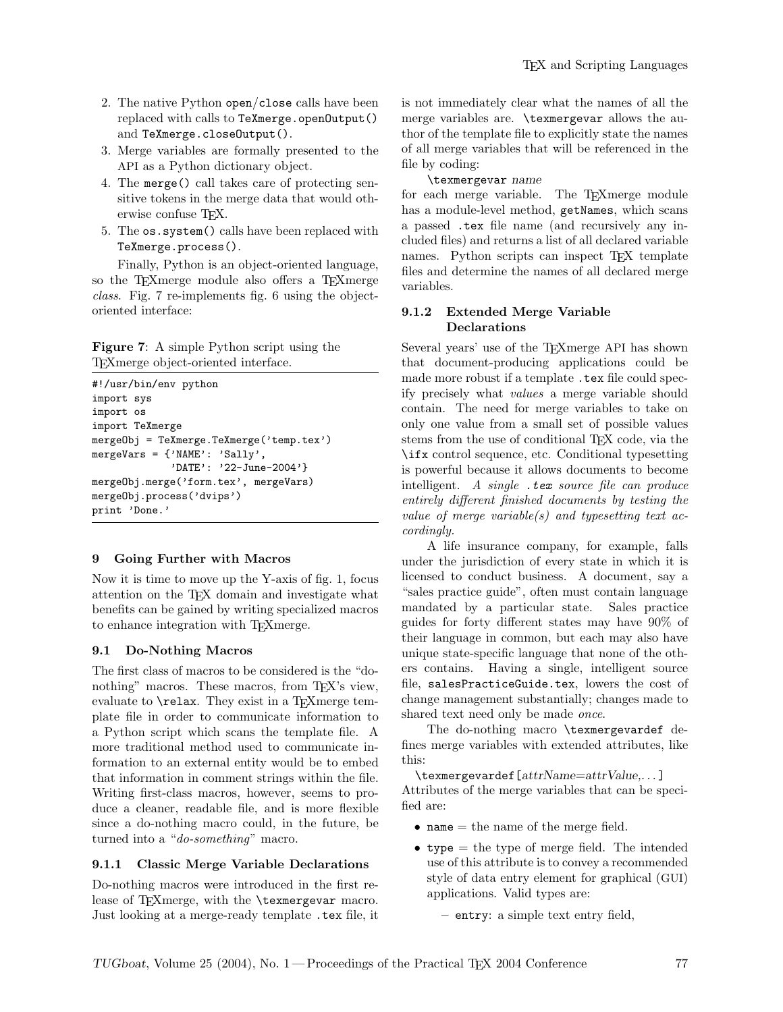- 2. The native Python open/close calls have been replaced with calls to TeXmerge.openOutput() and TeXmerge.closeOutput().
- 3. Merge variables are formally presented to the API as a Python dictionary object.
- 4. The merge() call takes care of protecting sensitive tokens in the merge data that would otherwise confuse T<sub>F</sub>X.
- 5. The os.system() calls have been replaced with TeXmerge.process().

Finally, Python is an object-oriented language, so the TEXmerge module also offers a TEXmerge class. Fig. 7 re-implements fig. 6 using the objectoriented interface:

Figure 7: A simple Python script using the TEXmerge object-oriented interface.

```
#!/usr/bin/env python
import sys
import os
import TeXmerge
mergeObj = TeXmerge.TeXmerge('temp.tex')
mergeVars = {'NAME': 'Sally',
             'DATE': '22-June-2004'}
mergeObj.merge('form.tex', mergeVars)
mergeObj.process('dvips')
print 'Done.'
```
## 9 Going Further with Macros

Now it is time to move up the Y-axis of fig. 1, focus attention on the TEX domain and investigate what benefits can be gained by writing specialized macros to enhance integration with TEXmerge.

## 9.1 Do-Nothing Macros

The first class of macros to be considered is the "donothing" macros. These macros, from TFX's view, evaluate to  $\text{relax}$ . They exist in a T<sub>E</sub>Xmerge template file in order to communicate information to a Python script which scans the template file. A more traditional method used to communicate information to an external entity would be to embed that information in comment strings within the file. Writing first-class macros, however, seems to produce a cleaner, readable file, and is more flexible since a do-nothing macro could, in the future, be turned into a "do-something" macro.

# 9.1.1 Classic Merge Variable Declarations

Do-nothing macros were introduced in the first release of T<sub>F</sub>Xmerge, with the \texmergevar macro. Just looking at a merge-ready template .tex file, it is not immediately clear what the names of all the merge variables are. \texmergevar allows the author of the template file to explicitly state the names of all merge variables that will be referenced in the file by coding:

\texmergevar name

for each merge variable. The TEXmerge module has a module-level method, getNames, which scans a passed .tex file name (and recursively any included files) and returns a list of all declared variable names. Python scripts can inspect T<sub>EX</sub> template files and determine the names of all declared merge variables.

# 9.1.2 Extended Merge Variable Declarations

Several years' use of the T<sub>E</sub>Xmerge API has shown that document-producing applications could be made more robust if a template . tex file could specify precisely what values a merge variable should contain. The need for merge variables to take on only one value from a small set of possible values stems from the use of conditional T<sub>EX</sub> code, via the \ifx control sequence, etc. Conditional typesetting is powerful because it allows documents to become intelligent. A single  $text$  source file can produce entirely different finished documents by testing the value of merge variable(s) and typesetting text accordingly.

A life insurance company, for example, falls under the jurisdiction of every state in which it is licensed to conduct business. A document, say a "sales practice guide", often must contain language mandated by a particular state. Sales practice guides for forty different states may have 90% of their language in common, but each may also have unique state-specific language that none of the others contains. Having a single, intelligent source file, salesPracticeGuide.tex, lowers the cost of change management substantially; changes made to shared text need only be made *once*.

The do-nothing macro \texmergevardef defines merge variables with extended attributes, like this:

\texmergevardef[attrName=attrValue,. . . ] Attributes of the merge variables that can be specified are:

- name  $=$  the name of the merge field.
- type = the type of merge field. The intended use of this attribute is to convey a recommended style of data entry element for graphical (GUI) applications. Valid types are:
	- entry: a simple text entry field,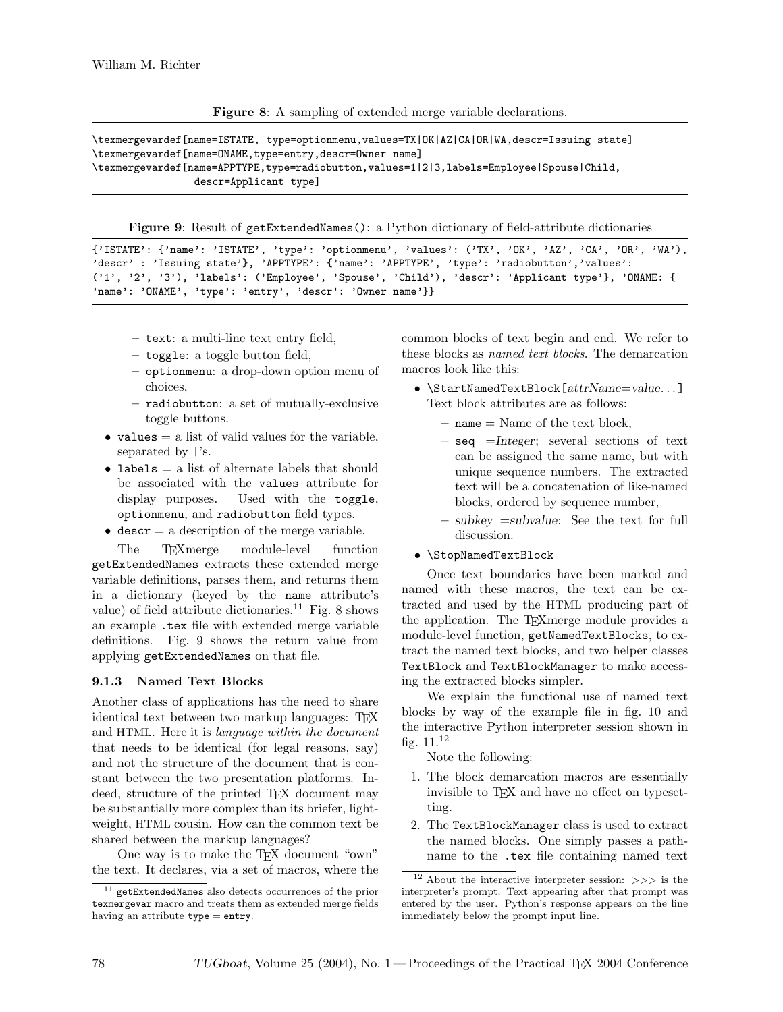Figure 8: A sampling of extended merge variable declarations.

\texmergevardef[name=ISTATE, type=optionmenu,values=TX|OK|AZ|CA|OR|WA,descr=Issuing state] \texmergevardef[name=ONAME,type=entry,descr=Owner name] \texmergevardef[name=APPTYPE,type=radiobutton,values=1|2|3,labels=Employee|Spouse|Child, descr=Applicant type]

Figure 9: Result of getExtendedNames(): a Python dictionary of field-attribute dictionaries

```
{'ISTATE': {'name': 'ISTATE', 'type': 'optionmenu', 'values': ('TX', 'OK', 'AZ', 'CA', 'OR', 'WA'),
'descr' : 'Issuing state'}, 'APPTYPE': {'name': 'APPTYPE', 'type': 'radiobutton','values':
('1', '2', '3'), 'labels': ('Employee', 'Spouse', 'Child'), 'descr': 'Applicant type'}, 'ONAME: {
'name': 'ONAME', 'type': 'entry', 'descr': 'Owner name'}}
```
- text: a multi-line text entry field,
- toggle: a toggle button field,
- optionmenu: a drop-down option menu of choices,
- radiobutton: a set of mutually-exclusive toggle buttons.
- values  $=$  a list of valid values for the variable, separated by  $\vert$ 's.
- labels  $=$  a list of alternate labels that should be associated with the values attribute for display purposes. Used with the toggle, optionmenu, and radiobutton field types.
- descr  $=$  a description of the merge variable.

The T<sub>E</sub>Xmerge module-level function getExtendedNames extracts these extended merge variable definitions, parses them, and returns them in a dictionary (keyed by the name attribute's value) of field attribute dictionaries.<sup>11</sup> Fig. 8 shows an example .tex file with extended merge variable definitions. Fig. 9 shows the return value from applying getExtendedNames on that file.

## 9.1.3 Named Text Blocks

Another class of applications has the need to share identical text between two markup languages: TEX and HTML. Here it is language within the document that needs to be identical (for legal reasons, say) and not the structure of the document that is constant between the two presentation platforms. Indeed, structure of the printed TEX document may be substantially more complex than its briefer, lightweight, HTML cousin. How can the common text be shared between the markup languages?

One way is to make the T<sub>E</sub>X document "own" the text. It declares, via a set of macros, where the common blocks of text begin and end. We refer to these blocks as named text blocks. The demarcation macros look like this:

- $\bullet$  \StartNamedTextBlock[attrName=value...] Text block attributes are as follows:
	- $-$  name  $=$  Name of the text block,
	- seq =Integer; several sections of text can be assigned the same name, but with unique sequence numbers. The extracted text will be a concatenation of like-named blocks, ordered by sequence number,
	- $-$  subkey  $=$ subvalue: See the text for full discussion.
- \StopNamedTextBlock

Once text boundaries have been marked and named with these macros, the text can be extracted and used by the HTML producing part of the application. The TEXmerge module provides a module-level function, getNamedTextBlocks, to extract the named text blocks, and two helper classes TextBlock and TextBlockManager to make accessing the extracted blocks simpler.

We explain the functional use of named text blocks by way of the example file in fig. 10 and the interactive Python interpreter session shown in fig.  $11.^{12}$ 

Note the following:

- 1. The block demarcation macros are essentially invisible to TEX and have no effect on typesetting.
- 2. The TextBlockManager class is used to extract the named blocks. One simply passes a pathname to the .tex file containing named text

<sup>11</sup> getExtendedNames also detects occurrences of the prior texmergevar macro and treats them as extended merge fields having an attribute type = entry.

 $^{12}$  About the interactive interpreter session:  $\gg>\,$  is the interpreter's prompt. Text appearing after that prompt was entered by the user. Python's response appears on the line immediately below the prompt input line.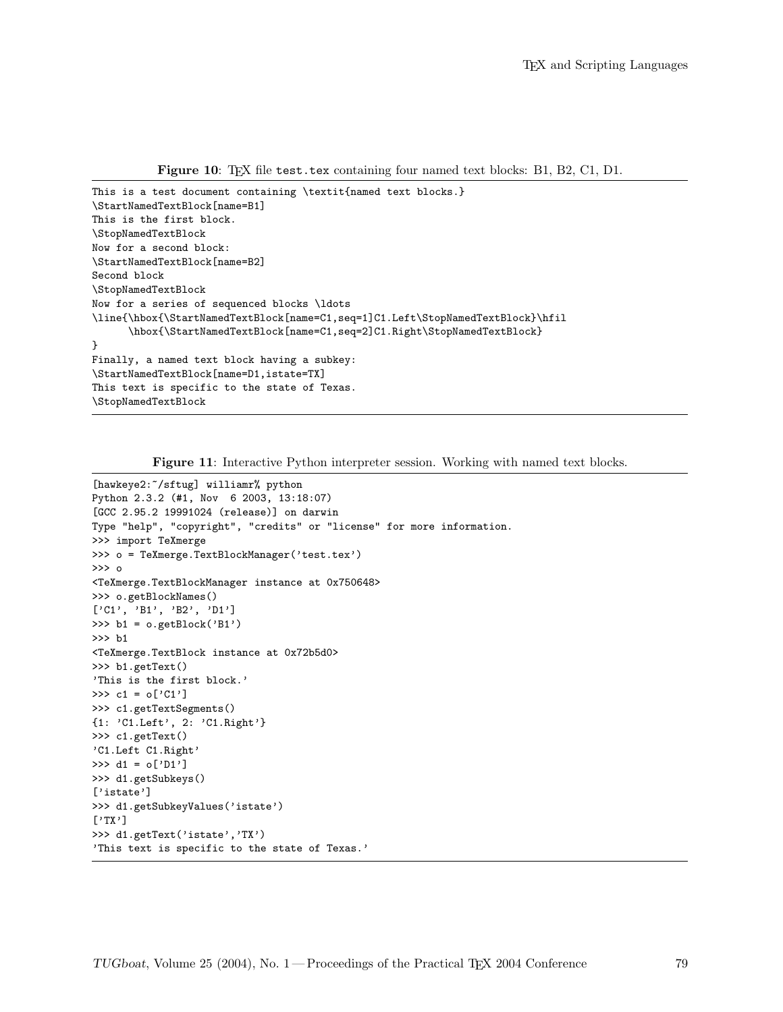Figure 10: TEX file test.tex containing four named text blocks: B1, B2, C1, D1.

```
This is a test document containing \textit{named text blocks.}
\StartNamedTextBlock[name=B1]
This is the first block.
\StopNamedTextBlock
Now for a second block:
\StartNamedTextBlock[name=B2]
Second block
\StopNamedTextBlock
Now for a series of sequenced blocks \ldots
\line{\hbox{\StartNamedTextBlock[name=C1,seq=1]C1.Left\StopNamedTextBlock}\hfil
      \hbox{\StartNamedTextBlock[name=C1,seq=2]C1.Right\StopNamedTextBlock}
}
Finally, a named text block having a subkey:
\StartNamedTextBlock[name=D1,istate=TX]
This text is specific to the state of Texas.
\StopNamedTextBlock
```
Figure 11: Interactive Python interpreter session. Working with named text blocks.

```
[hawkeye2:~/sftug] williamr% python
Python 2.3.2 (#1, Nov 6 2003, 13:18:07)
[GCC 2.95.2 19991024 (release)] on darwin
Type "help", "copyright", "credits" or "license" for more information.
>>> import TeXmerge
>>> o = TeXmerge.TextBlockManager('test.tex')
>>> o
<TeXmerge.TextBlockManager instance at 0x750648>
>>> o.getBlockNames()
['C1', 'B1', 'B2', 'D1']
>>> b1 = o.getBlock('B1')
>>> b1
<TeXmerge.TextBlock instance at 0x72b5d0>
>>> b1.getText()
'This is the first block.'
>>> c1 = o['C1']>>> c1.getTextSegments()
{1: 'C1.Left', 2: 'C1.Right'}
>>> c1.getText()
'C1.Left C1.Right'
>>> d1 = o['D1']
>>> d1.getSubkeys()
['istate']
>>> d1.getSubkeyValues('istate')
['TX']
>>> d1.getText('istate','TX')
'This text is specific to the state of Texas.'
```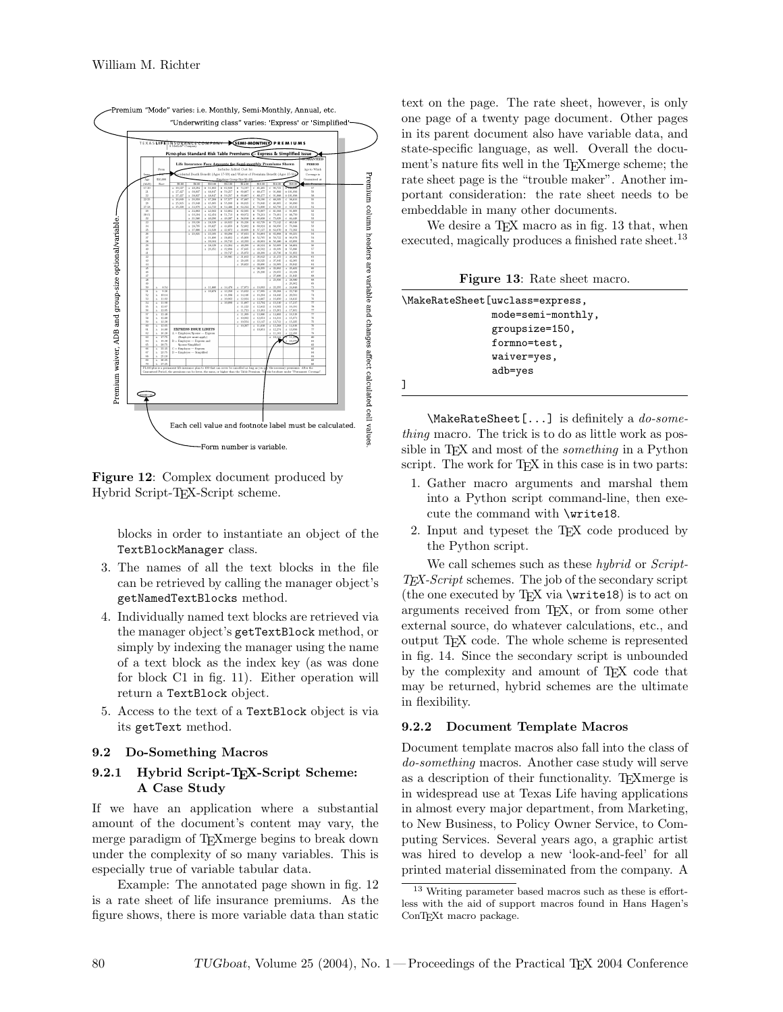

Figure 12: Complex document produced by Hybrid Script-TEX-Script scheme.

blocks in order to instantiate an object of the TextBlockManager class.

- 3. The names of all the text blocks in the file can be retrieved by calling the manager object's getNamedTextBlocks method.
- 4. Individually named text blocks are retrieved via the manager object's getTextBlock method, or simply by indexing the manager using the name of a text block as the index key (as was done for block C1 in fig. 11). Either operation will return a TextBlock object.
- 5. Access to the text of a TextBlock object is via its getText method.

## 9.2 Do-Something Macros

# 9.2.1 Hybrid Script-TEX-Script Scheme: A Case Study

If we have an application where a substantial amount of the document's content may vary, the merge paradigm of T<sub>EX</sub> merge begins to break down under the complexity of so many variables. This is especially true of variable tabular data.

Example: The annotated page shown in fig. 12 is a rate sheet of life insurance premiums. As the figure shows, there is more variable data than static

text on the page. The rate sheet, however, is only one page of a twenty page document. Other pages in its parent document also have variable data, and state-specific language, as well. Overall the document's nature fits well in the T<sub>E</sub>Xmerge scheme; the rate sheet page is the "trouble maker". Another important consideration: the rate sheet needs to be embeddable in many other documents.

We desire a T<sub>F</sub>X macro as in fig. 13 that, when executed, magically produces a finished rate sheet.<sup>13</sup>

Figure 13: Rate sheet macro.

| \MakeRateSheet[uwclass=express, |
|---------------------------------|
| mode=semi-monthly,              |
| groupsize=150,                  |
| formno=test,                    |
| waiver=yes,                     |
| adb=yes                         |
|                                 |

\MakeRateSheet[...] is definitely a *do-some*thing macro. The trick is to do as little work as possible in T<sub>E</sub>X and most of the *something* in a Python script. The work for T<sub>E</sub>X in this case is in two parts:

- 1. Gather macro arguments and marshal them into a Python script command-line, then execute the command with \write18.
- 2. Input and typeset the TEX code produced by the Python script.

We call schemes such as these *hybrid* or *Script*-TEX-Script schemes. The job of the secondary script (the one executed by T<sub>EX</sub> via  $\write 18$ ) is to act on arguments received from TEX, or from some other external source, do whatever calculations, etc., and output TEX code. The whole scheme is represented in fig. 14. Since the secondary script is unbounded by the complexity and amount of TEX code that may be returned, hybrid schemes are the ultimate in flexibility.

## 9.2.2 Document Template Macros

Document template macros also fall into the class of do-something macros. Another case study will serve as a description of their functionality. T<sub>E</sub>Xmerge is in widespread use at Texas Life having applications in almost every major department, from Marketing, to New Business, to Policy Owner Service, to Computing Services. Several years ago, a graphic artist was hired to develop a new 'look-and-feel' for all printed material disseminated from the company. A

<sup>13</sup> Writing parameter based macros such as these is effortless with the aid of support macros found in Hans Hagen's ConT<sub>E</sub>X<sub>t</sub> macro package.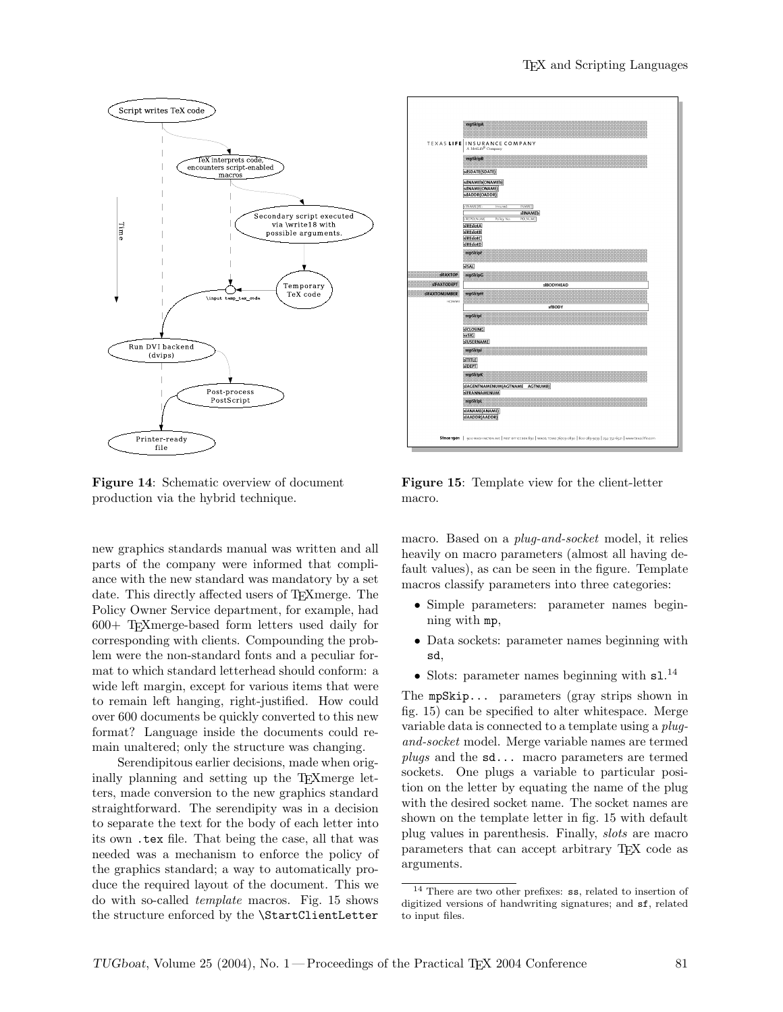

Figure 14: Schematic overview of document production via the hybrid technique.

new graphics standards manual was written and all parts of the company were informed that compliance with the new standard was mandatory by a set date. This directly affected users of T<sub>E</sub>Xmerge. The Policy Owner Service department, for example, had 600+ TEXmerge-based form letters used daily for corresponding with clients. Compounding the problem were the non-standard fonts and a peculiar format to which standard letterhead should conform: a wide left margin, except for various items that were to remain left hanging, right-justified. How could over 600 documents be quickly converted to this new format? Language inside the documents could remain unaltered; only the structure was changing.

Serendipitous earlier decisions, made when originally planning and setting up the T<sub>E</sub>Xmerge letters, made conversion to the new graphics standard straightforward. The serendipity was in a decision to separate the text for the body of each letter into its own .tex file. That being the case, all that was needed was a mechanism to enforce the policy of the graphics standard; a way to automatically produce the required layout of the document. This we do with so-called template macros. Fig. 15 shows the structure enforced by the \StartClientLetter



Figure 15: Template view for the client-letter macro.

macro. Based on a *plug-and-socket* model, it relies heavily on macro parameters (almost all having default values), as can be seen in the figure. Template macros classify parameters into three categories:

- Simple parameters: parameter names beginning with mp,
- Data sockets: parameter names beginning with sd,
- Slots: parameter names beginning with  $s1$ .<sup>14</sup>

The mpSkip... parameters (gray strips shown in fig. 15) can be specified to alter whitespace. Merge variable data is connected to a template using a *plug*and-socket model. Merge variable names are termed plugs and the sd... macro parameters are termed sockets. One plugs a variable to particular position on the letter by equating the name of the plug with the desired socket name. The socket names are shown on the template letter in fig. 15 with default plug values in parenthesis. Finally, slots are macro parameters that can accept arbitrary TEX code as arguments.

<sup>14</sup> There are two other prefixes: ss, related to insertion of digitized versions of handwriting signatures; and sf, related to input files.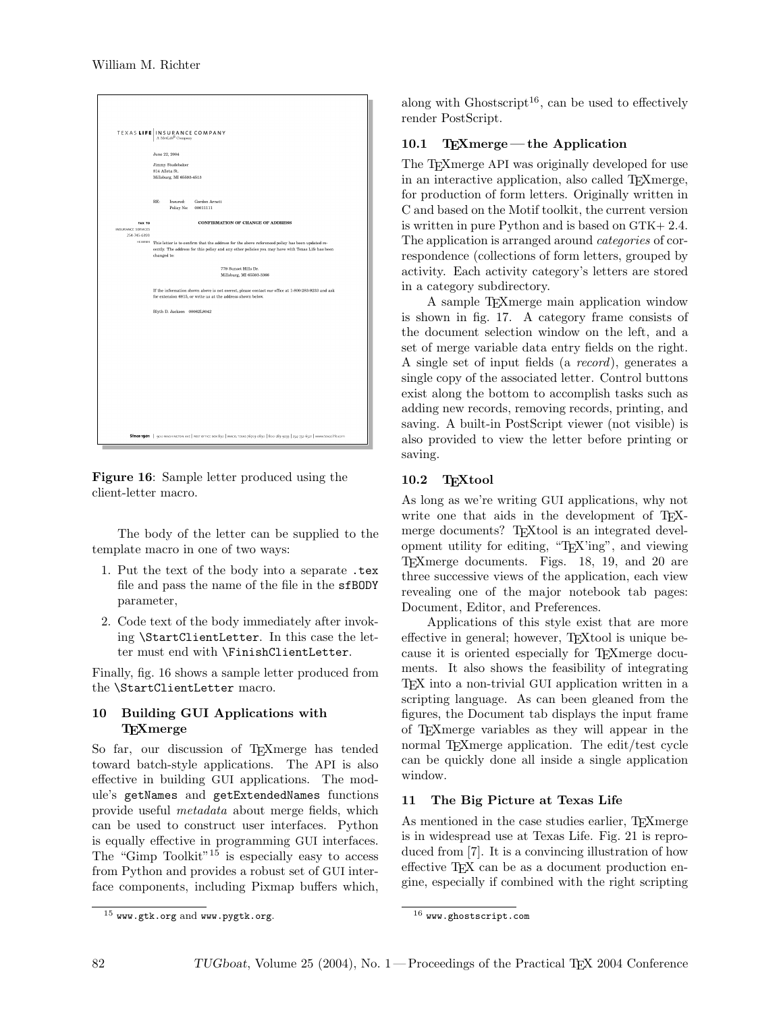

Figure 16: Sample letter produced using the client-letter macro.

The body of the letter can be supplied to the template macro in one of two ways:

- 1. Put the text of the body into a separate .tex file and pass the name of the file in the sfBODY parameter,
- 2. Code text of the body immediately after invoking \StartClientLetter. In this case the letter must end with \FinishClientLetter.

Finally, fig. 16 shows a sample letter produced from the \StartClientLetter macro.

# 10 Building GUI Applications with **TEXmerge**

So far, our discussion of T<sub>E</sub>Xmerge has tended toward batch-style applications. The API is also effective in building GUI applications. The module's getNames and getExtendedNames functions provide useful metadata about merge fields, which can be used to construct user interfaces. Python is equally effective in programming GUI interfaces. The "Gimp Toolkit"<sup>15</sup> is especially easy to access from Python and provides a robust set of GUI interface components, including Pixmap buffers which,

along with Ghostscript<sup>16</sup>, can be used to effectively render PostScript.

# 10.1 TEXmerge— the Application

The T<sub>E</sub>X merge API was originally developed for use in an interactive application, also called TEXmerge, for production of form letters. Originally written in C and based on the Motif toolkit, the current version is written in pure Python and is based on GTK+ 2.4. The application is arranged around *categories* of correspondence (collections of form letters, grouped by activity. Each activity category's letters are stored in a category subdirectory.

A sample TEXmerge main application window is shown in fig. 17. A category frame consists of the document selection window on the left, and a set of merge variable data entry fields on the right. A single set of input fields (a record), generates a single copy of the associated letter. Control buttons exist along the bottom to accomplish tasks such as adding new records, removing records, printing, and saving. A built-in PostScript viewer (not visible) is also provided to view the letter before printing or saving.

# 10.2 TEXtool

As long as we're writing GUI applications, why not write one that aids in the development of TFXmerge documents? TEXtool is an integrated development utility for editing, "TEX'ing", and viewing TEXmerge documents. Figs. 18, 19, and 20 are three successive views of the application, each view revealing one of the major notebook tab pages: Document, Editor, and Preferences.

Applications of this style exist that are more effective in general; however, T<sub>E</sub>Xtool is unique because it is oriented especially for TEXmerge documents. It also shows the feasibility of integrating TEX into a non-trivial GUI application written in a scripting language. As can been gleaned from the figures, the Document tab displays the input frame of TEXmerge variables as they will appear in the normal T<sub>E</sub>X merge application. The edit/test cycle can be quickly done all inside a single application window.

## 11 The Big Picture at Texas Life

As mentioned in the case studies earlier, TEXmerge is in widespread use at Texas Life. Fig. 21 is reproduced from [7]. It is a convincing illustration of how effective T<sub>F</sub>X can be as a document production engine, especially if combined with the right scripting

 $15$  www.gtk.org and www.pygtk.org.

<sup>16</sup> www.ghostscript.com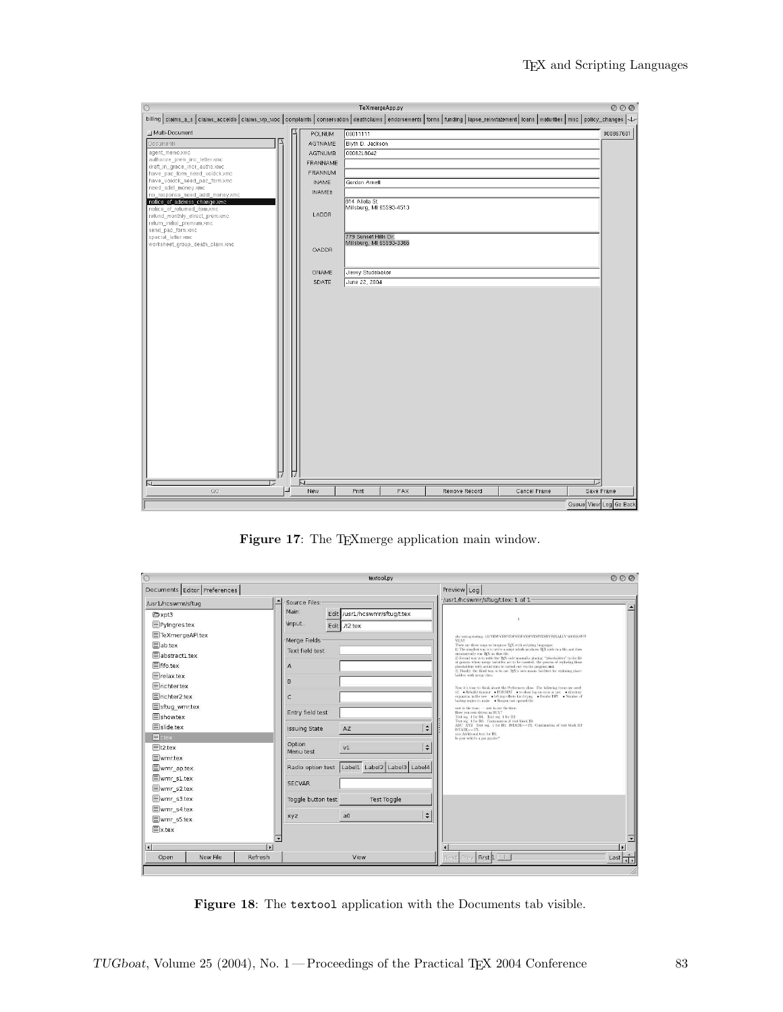| $\circ$                                                                                                                                                                     |               |          | TeXmergeApp.py                             |     |               |              |                        | 000       |
|-----------------------------------------------------------------------------------------------------------------------------------------------------------------------------|---------------|----------|--------------------------------------------|-----|---------------|--------------|------------------------|-----------|
| billing claims_a_s claims_acceldb claims_wp_woc complaints conservation deathclaims endorsements forms funding lapse_reinstatement loans maturities misc policy_changes \J> |               |          |                                            |     |               |              |                        |           |
| Multi-Document                                                                                                                                                              | POLNUM        | 00011111 |                                            |     |               |              |                        | 000867601 |
| Documents                                                                                                                                                                   | AGTNAME       |          | Blyth D. Jackson                           |     |               |              |                        |           |
| agent_memo.xmc                                                                                                                                                              | AGTNUMB       |          | 00062L8042                                 |     |               |              |                        |           |
| authorize_prem_inc_letter.xmc<br>draft_in_grace_incr_autho.xmc                                                                                                              | FRANNAME      |          |                                            |     |               |              |                        |           |
| have_pac_form_need_voidck.xmc                                                                                                                                               | FRANNUM       |          |                                            |     |               |              |                        |           |
| have_voidck_need_pac_form.xmc<br>need_addl_money.xmc                                                                                                                        | <b>INAME</b>  |          | Gordon Amett                               |     |               |              |                        |           |
| no_response_need_addl_money.xmc                                                                                                                                             | <b>INAMEb</b> |          |                                            |     |               |              |                        |           |
| notice_of_address_change.xmc                                                                                                                                                |               |          | 814 Alleta St.<br>Millsburg, MI 65593-4513 |     |               |              |                        |           |
| notice_of_returned_item.xmc<br>refund_monthly_direct_prem.xmc                                                                                                               | LADDR         |          |                                            |     |               |              |                        |           |
| return_initial_premium.xmc                                                                                                                                                  |               |          |                                            |     |               |              |                        |           |
| send_pac_form.xmc<br>special_letter.xmc                                                                                                                                     |               |          | 779 Sunset Hills Dr.                       |     |               |              |                        |           |
| worksheet_group_death_claim.xmc                                                                                                                                             |               |          | Millsburg, MI 65593-3366                   |     |               |              |                        |           |
|                                                                                                                                                                             | OADDR         |          |                                            |     |               |              |                        |           |
|                                                                                                                                                                             |               |          |                                            |     |               |              |                        |           |
|                                                                                                                                                                             | ONAME         |          | Jimmy Studebaker                           |     |               |              |                        |           |
|                                                                                                                                                                             | SDATE         |          | June 22, 2004                              |     |               |              |                        |           |
|                                                                                                                                                                             |               |          |                                            |     |               |              |                        |           |
|                                                                                                                                                                             |               |          |                                            |     |               |              |                        |           |
|                                                                                                                                                                             |               |          |                                            |     |               |              |                        |           |
|                                                                                                                                                                             |               |          |                                            |     |               |              |                        |           |
|                                                                                                                                                                             |               |          |                                            |     |               |              |                        |           |
|                                                                                                                                                                             |               |          |                                            |     |               |              |                        |           |
|                                                                                                                                                                             |               |          |                                            |     |               |              |                        |           |
|                                                                                                                                                                             |               |          |                                            |     |               |              |                        |           |
|                                                                                                                                                                             |               |          |                                            |     |               |              |                        |           |
|                                                                                                                                                                             |               |          |                                            |     |               |              |                        |           |
|                                                                                                                                                                             |               |          |                                            |     |               |              |                        |           |
|                                                                                                                                                                             |               |          |                                            |     |               |              |                        |           |
|                                                                                                                                                                             |               |          |                                            |     |               |              |                        |           |
|                                                                                                                                                                             |               |          |                                            |     |               |              |                        |           |
|                                                                                                                                                                             |               |          |                                            |     |               |              |                        |           |
|                                                                                                                                                                             |               |          |                                            |     |               |              |                        |           |
|                                                                                                                                                                             |               |          |                                            |     |               |              |                        |           |
|                                                                                                                                                                             |               |          |                                            |     |               |              |                        |           |
|                                                                                                                                                                             |               |          |                                            |     |               |              |                        |           |
| $\sim$                                                                                                                                                                      | $\mathsf{L}$  |          |                                            |     |               |              | ₽                      |           |
| $\mathbb{G}\mathbb{O}$                                                                                                                                                      | New           |          | Print                                      | FAX | Remove Record | Cancel Frame | Save Frame             |           |
|                                                                                                                                                                             |               |          |                                            |     |               |              | Queue View Log Go Back |           |

Figure 17: The TEX<br>merge application main window.

| $\circ$                      | textool.pv                                                       | 000                                                                                                                                                                                                                                           |
|------------------------------|------------------------------------------------------------------|-----------------------------------------------------------------------------------------------------------------------------------------------------------------------------------------------------------------------------------------------|
| Documents Editor Preferences | Preview Log                                                      |                                                                                                                                                                                                                                               |
| /usr1/hcswmr/sftug           | $\overline{\phantom{a}}$<br>Source Files:                        | /usr1/hcswmr/sftug/t.tex: 1 of 1                                                                                                                                                                                                              |
| Cxpt3                        | Main:<br>Edit /usr1/hcswmr/sftug/t.tex                           |                                                                                                                                                                                                                                               |
| Pyingres.tex                 | \input<br>Edit 72.tex                                            | $\mathbf{r}$                                                                                                                                                                                                                                  |
| TeXmergeAPI.tex              | Merge Fields<br><b>YEAR</b>                                      | abe to ting to ting. 123 YES! YES!YES!YES!YES!YES!YES!IT FINALLY WORKS !!!!                                                                                                                                                                   |
| ab.tex                       | Text field test                                                  | There are three ways to integrate TgX with scripting hingsages:<br>1) The simplest way is to write a script which produces TgX code in a file, and then                                                                                       |
| abstract1.tex                |                                                                  | automatically run TEX on that file.<br>2) Second way is to write the TrX code manually, placing "placeholders" in the file                                                                                                                    |
| <b>I</b> fifo.tex            | $\overline{A}$                                                   | at points where merge variables are to be inserted. the process of replacing these<br>placeholders with actual data is carried out via the program m4.<br>3) Finally, the third way is to use TEX's own macro facilities for replacing place- |
| Frelax.tex                   | B                                                                | bolders with merge data.                                                                                                                                                                                                                      |
| <b>Elrichter.tex</b>         |                                                                  | Now it's time to think about the Preferences class. The following items are need-<br>ed: . Rebuild timeout . FORMAT . to show log on error or not directory                                                                                   |
| Fichter <sub>2.tex</sub>     | $\epsilon$                                                       |                                                                                                                                                                                                                                               |
| sftug wmr.tex                | Entry field test                                                 | now is the time. - now is not the time.<br>Have you ever driven an SUV?                                                                                                                                                                       |
| <b>E</b> show.tex            |                                                                  | Text seg. 1 for B1. Text seg. 1 for B2.<br>Text seg. 1 for B3. Continuation of text block B3                                                                                                                                                  |
| slide.tex                    | $\blacktriangle$<br>AZ<br><b>Issuing State</b><br>ISTATE-TX<br>÷ | ABC XYZ Text seg. 1 for B3. ISTATE-TX Continuation of text block B3<br>xxx Additional text for BL                                                                                                                                             |
| $E$ ttex                     | Option                                                           | Is your whicle a gas gazzler?                                                                                                                                                                                                                 |
| Elt2.tex                     | $\div$<br>V <sub>1</sub><br>Menu test                            |                                                                                                                                                                                                                                               |
| <b>I</b> Wmr.tex             |                                                                  |                                                                                                                                                                                                                                               |
| wmr ap.tex                   | Radio option test Label1 Label2 Label3 Label4                    |                                                                                                                                                                                                                                               |
| wmr s1.tex                   | <b>SECVAR</b>                                                    |                                                                                                                                                                                                                                               |
| wmr s2.tex<br>wmr s3.tex     |                                                                  |                                                                                                                                                                                                                                               |
| wmr_s4.tex                   | Toggle button test<br>Test Toggle                                |                                                                                                                                                                                                                                               |
| wmr s5.tex                   | $\div$<br>a <sub>0</sub><br>xyz                                  |                                                                                                                                                                                                                                               |
| <b>Extex</b>                 |                                                                  |                                                                                                                                                                                                                                               |
|                              |                                                                  |                                                                                                                                                                                                                                               |
| $\blacktriangleleft$         | $\vert \cdot \vert$                                              |                                                                                                                                                                                                                                               |
| New File<br>Open             | Refresh<br>View<br>Pray<br>Vext                                  | First 1 1<br>Last $\overline{1}$                                                                                                                                                                                                              |

Figure 18: The textool application with the Documents tab visible.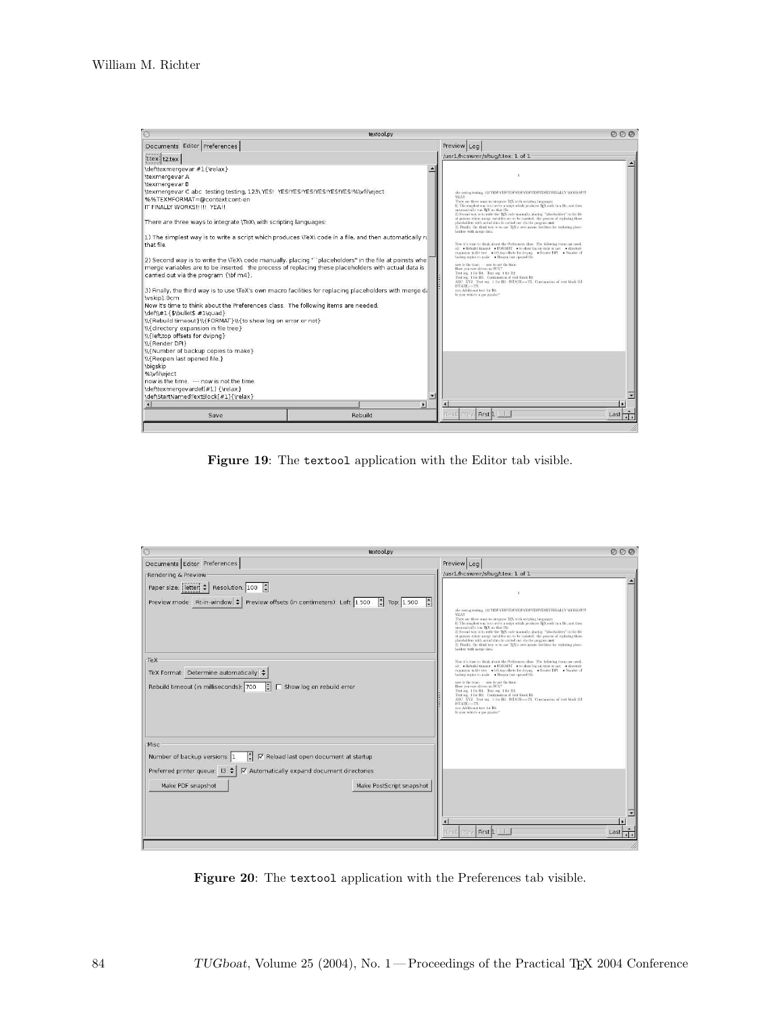| $\circ$                                                                                                                                                                                                                                                                                                                                                                                                                                                                                                                                                                                                                                                                                                                                                                                                                                                                             | textool.pv                                                                                                                                                                                                                                                                                                                                                                                                                                |                                                                                                                                                                                                                                                                                                                                                                                                                                                                                                                                                                                                                                                                                                                                                                                                                                                                                                                                                                                                                                                                                                                                                                                                                           | 000  |
|-------------------------------------------------------------------------------------------------------------------------------------------------------------------------------------------------------------------------------------------------------------------------------------------------------------------------------------------------------------------------------------------------------------------------------------------------------------------------------------------------------------------------------------------------------------------------------------------------------------------------------------------------------------------------------------------------------------------------------------------------------------------------------------------------------------------------------------------------------------------------------------|-------------------------------------------------------------------------------------------------------------------------------------------------------------------------------------------------------------------------------------------------------------------------------------------------------------------------------------------------------------------------------------------------------------------------------------------|---------------------------------------------------------------------------------------------------------------------------------------------------------------------------------------------------------------------------------------------------------------------------------------------------------------------------------------------------------------------------------------------------------------------------------------------------------------------------------------------------------------------------------------------------------------------------------------------------------------------------------------------------------------------------------------------------------------------------------------------------------------------------------------------------------------------------------------------------------------------------------------------------------------------------------------------------------------------------------------------------------------------------------------------------------------------------------------------------------------------------------------------------------------------------------------------------------------------------|------|
| Documents Editor Preferences                                                                                                                                                                                                                                                                                                                                                                                                                                                                                                                                                                                                                                                                                                                                                                                                                                                        |                                                                                                                                                                                                                                                                                                                                                                                                                                           | Preview Log                                                                                                                                                                                                                                                                                                                                                                                                                                                                                                                                                                                                                                                                                                                                                                                                                                                                                                                                                                                                                                                                                                                                                                                                               |      |
| t.tex t2.tex                                                                                                                                                                                                                                                                                                                                                                                                                                                                                                                                                                                                                                                                                                                                                                                                                                                                        |                                                                                                                                                                                                                                                                                                                                                                                                                                           | /usr1/hcswmr/sftug/t.tex: 1 of 1                                                                                                                                                                                                                                                                                                                                                                                                                                                                                                                                                                                                                                                                                                                                                                                                                                                                                                                                                                                                                                                                                                                                                                                          |      |
| \def\texmergevar #1{\relax}<br>\texmergevar A<br>\texmergevar B<br>\texmergevar C abc_testing testing, 123\ YES! YES!YES!YES!YES!YES!YES!%\vfil\eject<br>%%TEXMFORMAT=@context:cont-en<br>IT FINALLY WORKS !!!!! YEA !!<br>There are three ways to integrate \TeX\ with scripting languages:<br>that file<br>carried out via the program {\bf m4}.<br>\vskip1.0cm<br>Now it's time to think about the Preferences class. The following items are needed:<br>\def\\#1{\$\bullet\$ #1\quad}<br>\\{Rebuild timeout}\\{FORMAT}\\{to show log on error or not}<br>\\{directory expansion in file tree}<br>W{left,top offsets for dvipng}<br>WRender DPI<br>\\{Number of backup copies to make}<br>\\{Reopen last opened file.}<br><b>\bigskip</b><br>%\vfil\eiect<br>now is the time --- now is not the time<br>\def\texmergevardef[#1] {\relax}<br>\def\StartNamedTextBlock[#1]{\relax} | 1) The simplest way is to write a script which produces \TeX\ code in a file, and then automatically ru<br>2) Second way is to write the \TeX\ code manually, placing ""placeholders" in the file at poinsts whe<br>merge variables are to be inserted. the process of replacing these placeholders with actual data is<br>3) Finally, the third way is to use \TeX's own macro facilities for replacing placeholders with merge di-<br>岡 | <b>YEAR</b><br>There are three ways to integrate TgX with scripting hingsages:<br>1) The simplest way is to write a serior which produces TeX code in a file, and then<br>automatically run TrX on that file.<br>2) Second way is to write the TgX code manually, placing "placeholders" in the file<br>at points where merge variables are to be inserted, the process of replacing these<br>placeholders with actual data is carried out via the program m-4.<br>3) Finally, the third way is to use TpX's own macro facilities for replacing place-<br>holders with merge data.<br>Now it's time to think about the Preferences class. The following items are need-<br>ed: . Rebuild timeout . FORMAT . to show log on error or not directory<br>expansion in file tree . Ieft.top offsets for dvipng . Render DPI . Number of<br>backup copies to make - Beopen last opened file.<br>now is the time. - now is not the time.<br>Have you ever driven an SUV?<br>Text sec. 1 for B1. Text sec. 1 for B2<br>Text seg. 1 for B3. Continuation of text block B3<br>ABC XYZ Text seg. 1 for B3 ISTATE -- TX Continuation of text block B3<br>$ISTATE - TX$<br>xxx Additional text for BL<br>Is your whicle a gas gazzler? |      |
| Save                                                                                                                                                                                                                                                                                                                                                                                                                                                                                                                                                                                                                                                                                                                                                                                                                                                                                | Rebuild                                                                                                                                                                                                                                                                                                                                                                                                                                   | Prev First 1<br>Vext                                                                                                                                                                                                                                                                                                                                                                                                                                                                                                                                                                                                                                                                                                                                                                                                                                                                                                                                                                                                                                                                                                                                                                                                      | Last |

Figure 19: The textool application with the Editor tab visible.

| textool.pv                                                                                                                                                                                                           |                                                                                                                                                                                                                                                                                                                                                                                                                                                                                                                                                                                                                                 | 000  |
|----------------------------------------------------------------------------------------------------------------------------------------------------------------------------------------------------------------------|---------------------------------------------------------------------------------------------------------------------------------------------------------------------------------------------------------------------------------------------------------------------------------------------------------------------------------------------------------------------------------------------------------------------------------------------------------------------------------------------------------------------------------------------------------------------------------------------------------------------------------|------|
| Documents Editor Preferences                                                                                                                                                                                         | Preview Log                                                                                                                                                                                                                                                                                                                                                                                                                                                                                                                                                                                                                     |      |
| Rendering & Preview                                                                                                                                                                                                  | /usr1/hcswmr/sftug/t.tex: 1 of 1                                                                                                                                                                                                                                                                                                                                                                                                                                                                                                                                                                                                |      |
| Paper size: letter $\left  \bullet \right $ Resolution: 100<br>$\vert \cdot \vert$<br>Preview mode: Fit-in-window $\leftarrow$ Preview offsets (in centimeters): Left: 1.500<br>$\div$ Top: 1.500                    | <b>VEAR</b><br>There are three ways to integrate TgX with scripting hanguages:<br>1) The simplest way is to write a script which produces TgX code in a file, and then<br>automatically run TEX on that file.<br>2) Second way is to write the TrX code manually, placing "placeholders" in the file<br>at poinsts where merge variables are to be inserted, the process of replacing these<br>placeholders with actual data is carried out via the program m4.<br>3) Finally, the third way is to use TgX's own macro facilities for replacing place-<br>holders with merge data.                                              |      |
| TeX-<br>TeX Format: Determine automatically<br>Rebuild timeout (in milliseconds): 700<br>$\mathbb{R}^+$<br>□ Show log on rebuild error                                                                               | Now it's time to think about the Preferences class. The following items are need-<br>ed: . Rebuild timeout . PORMAT . to show log on error or not . directory<br>expansion in file tree . heft.top offsets for dvipng . Render DPI . Number of<br>backup copies to make - Respen last opened file.<br>now is the time. - now is not the time.<br>Have you ever driven an SUV?<br>Text seg. 1 for B1. Text seg. 1 for B2.<br>Text seg. 1 for B3. Continuation of text block B3<br>ABC XYZ Text seg 1 for B3 ISTATE-TX Continuation of text block B3<br>ISTATE-TX<br>xxx Additional text for B1.<br>Is your whicle a gas guzzler? |      |
| Misc<br>F<br>Number of backup versions: 1<br>√ Reload last open document at startup<br>Preferred printer queue: 13 ≑<br>√ Automatically expand document directories<br>Make PDF snapshot<br>Make PostScript snapshot |                                                                                                                                                                                                                                                                                                                                                                                                                                                                                                                                                                                                                                 |      |
|                                                                                                                                                                                                                      | Prev First 1 1<br>Next                                                                                                                                                                                                                                                                                                                                                                                                                                                                                                                                                                                                          | Last |

Figure 20: The textool application with the Preferences tab visible.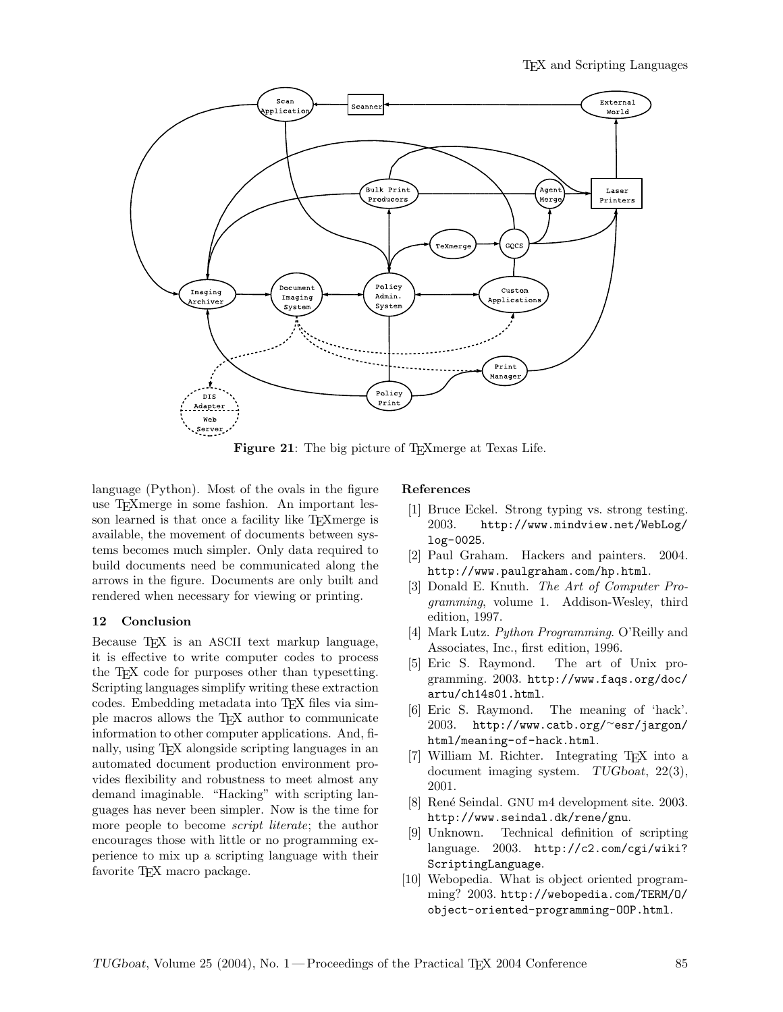

Figure 21: The big picture of T<sub>E</sub>Xmerge at Texas Life.

language (Python). Most of the ovals in the figure use TEXmerge in some fashion. An important lesson learned is that once a facility like T<sub>E</sub>Xmerge is available, the movement of documents between systems becomes much simpler. Only data required to build documents need be communicated along the arrows in the figure. Documents are only built and rendered when necessary for viewing or printing.

## 12 Conclusion

Because T<sub>EX</sub> is an ASCII text markup language, it is effective to write computer codes to process the TEX code for purposes other than typesetting. Scripting languages simplify writing these extraction codes. Embedding metadata into TEX files via simple macros allows the TEX author to communicate information to other computer applications. And, finally, using TEX alongside scripting languages in an automated document production environment provides flexibility and robustness to meet almost any demand imaginable. "Hacking" with scripting languages has never been simpler. Now is the time for more people to become *script literate*; the author encourages those with little or no programming experience to mix up a scripting language with their favorite TEX macro package.

## References

- [1] Bruce Eckel. Strong typing vs. strong testing. 2003. http://www.mindview.net/WebLog/ log-0025.
- [2] Paul Graham. Hackers and painters. 2004. http://www.paulgraham.com/hp.html.
- [3] Donald E. Knuth. The Art of Computer Programming, volume 1. Addison-Wesley, third edition, 1997.
- [4] Mark Lutz. Python Programming. O'Reilly and Associates, Inc., first edition, 1996.
- [5] Eric S. Raymond. The art of Unix programming. 2003. http://www.faqs.org/doc/ artu/ch14s01.html.
- [6] Eric S. Raymond. The meaning of 'hack'. 2003. http://www.catb.org/∼esr/jargon/ html/meaning-of-hack.html.
- [7] William M. Richter. Integrating TEX into a document imaging system. TUGboat, 22(3), 2001.
- [8] René Seindal. GNU m4 development site. 2003. http://www.seindal.dk/rene/gnu.
- [9] Unknown. Technical definition of scripting language. 2003. http://c2.com/cgi/wiki? ScriptingLanguage.
- [10] Webopedia. What is object oriented programming? 2003. http://webopedia.com/TERM/O/ object-oriented-programming-OOP.html.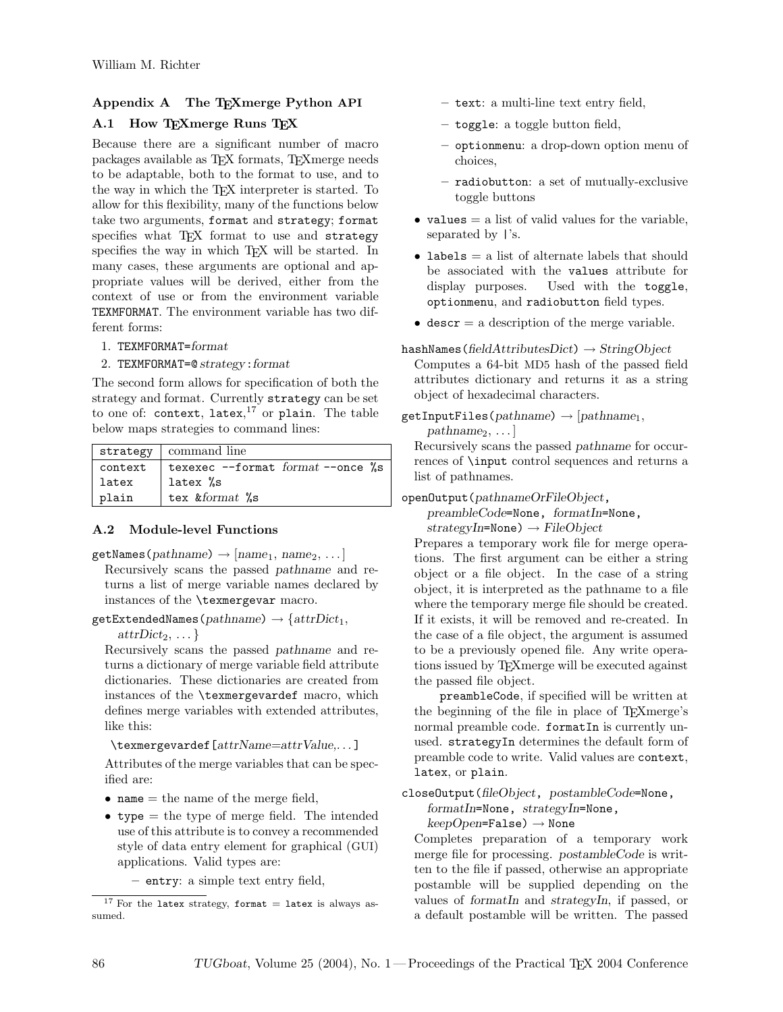# Appendix A The TEXmerge Python API

# A.1 How TEXmerge Runs TEX

Because there are a significant number of macro packages available as TEX formats, TEXmerge needs to be adaptable, both to the format to use, and to the way in which the TEX interpreter is started. To allow for this flexibility, many of the functions below take two arguments, format and strategy; format specifies what TFX format to use and strategy specifies the way in which T<sub>E</sub>X will be started. In many cases, these arguments are optional and appropriate values will be derived, either from the context of use or from the environment variable TEXMFORMAT. The environment variable has two different forms:

- 1. TEXMFORMAT=format
- 2. TEXMFORMAT=@ strategy:format

The second form allows for specification of both the strategy and format. Currently strategy can be set to one of: context, latex, $17$  or plain. The table below maps strategies to command lines:

|         | strategy   command line               |
|---------|---------------------------------------|
| context | texexec $--format$ format $--once$ %s |
| latex   | latex %s                              |
| plain   | tex &format %s                        |

# A.2 Module-level Functions

 $\texttt{getNames}(pathname) \rightarrow [name_1, name_2, \dots]$ Recursively scans the passed pathname and returns a list of merge variable names declared by instances of the \texmergevar macro.

 $getExtendedNames(pathname) \rightarrow {attrDict<sub>1</sub>},$ 

 $attrDict_2, \ldots$ 

Recursively scans the passed pathname and returns a dictionary of merge variable field attribute dictionaries. These dictionaries are created from instances of the \texmergevardef macro, which defines merge variables with extended attributes, like this:

\texmergevardef[attrName=attrValue,. . . ]

Attributes of the merge variables that can be specified are:

- name  $=$  the name of the merge field,
- type = the type of merge field. The intended use of this attribute is to convey a recommended style of data entry element for graphical (GUI) applications. Valid types are:

– entry: a simple text entry field,

- text: a multi-line text entry field,
- toggle: a toggle button field,
- optionmenu: a drop-down option menu of choices,
- radiobutton: a set of mutually-exclusive toggle buttons
- values  $=$  a list of valid values for the variable, separated by |'s.
- labels  $=$  a list of alternate labels that should be associated with the values attribute for display purposes. Used with the toggle, optionmenu, and radiobutton field types.
- descr  $=$  a description of the merge variable.

# hashNames(fieldAttributesDict)  $\rightarrow$  StringObject

Computes a 64-bit MD5 hash of the passed field attributes dictionary and returns it as a string object of hexadecimal characters.

 $getInputFiles(pathname) \rightarrow [pathname_1,$ 

 $pathname_2, \ldots$ 

Recursively scans the passed pathname for occurrences of \input control sequences and returns a list of pathnames.

# openOutput(pathnameOrFileObject,

preambleCode=None, formatIn=None,  $strategyIn=None) \rightarrow FileObject$ 

Prepares a temporary work file for merge operations. The first argument can be either a string object or a file object. In the case of a string object, it is interpreted as the pathname to a file where the temporary merge file should be created. If it exists, it will be removed and re-created. In the case of a file object, the argument is assumed to be a previously opened file. Any write operations issued by TEXmerge will be executed against the passed file object.

preambleCode, if specified will be written at the beginning of the file in place of TEXmerge's normal preamble code. formatIn is currently unused. strategyIn determines the default form of preamble code to write. Valid values are context, latex, or plain.

closeOutput(fileObject, postambleCode=None,

formatIn=None, strategyIn=None,

```
keepOpen=False) \rightarrow None
```
Completes preparation of a temporary work merge file for processing. postambleCode is written to the file if passed, otherwise an appropriate postamble will be supplied depending on the values of formatIn and strategyIn, if passed, or a default postamble will be written. The passed

<sup>&</sup>lt;sup>17</sup> For the latex strategy, format = latex is always assumed.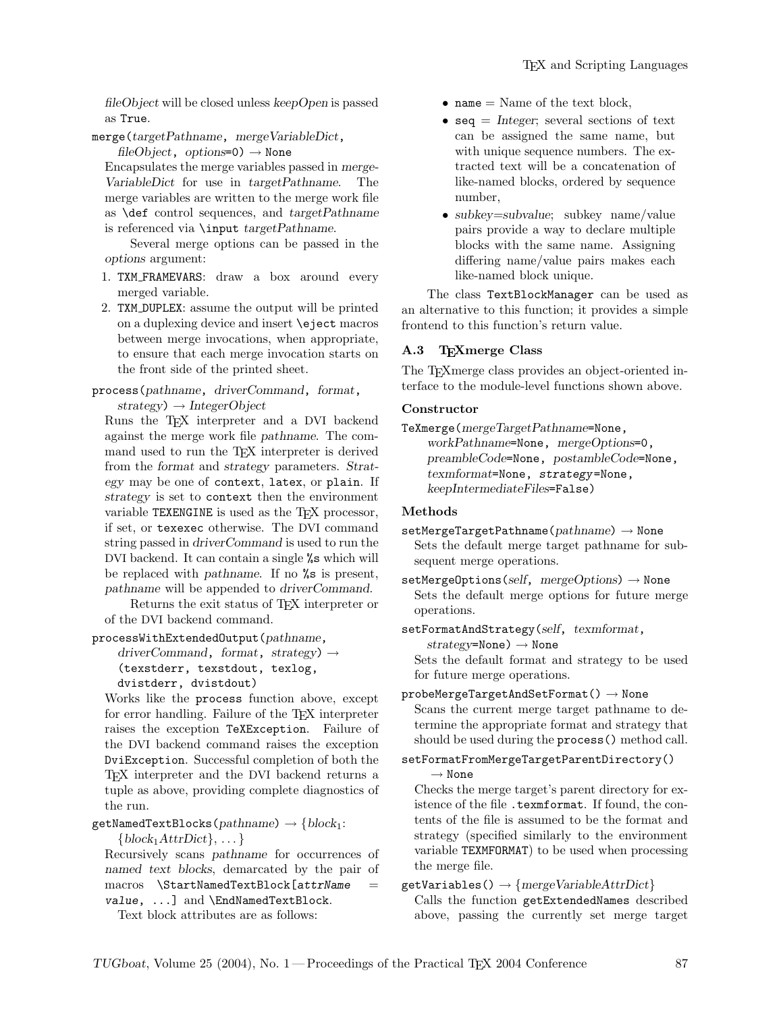fileObject will be closed unless keepOpen is passed as True.

merge(targetPathname, mergeVariableDict,

fileObject, options=0)  $\rightarrow$  None

Encapsulates the merge variables passed in merge-VariableDict for use in targetPathname. The merge variables are written to the merge work file as \def control sequences, and targetPathname is referenced via \input targetPathname.

Several merge options can be passed in the options argument:

- 1. TXM FRAMEVARS: draw a box around every merged variable.
- 2. TXM DUPLEX: assume the output will be printed on a duplexing device and insert \eject macros between merge invocations, when appropriate, to ensure that each merge invocation starts on the front side of the printed sheet.

process(pathname, driverCommand, format,  $strategy$ )  $\rightarrow$  IntegerObject

Runs the T<sub>F</sub>X interpreter and a DVI backend against the merge work file pathname. The command used to run the TEX interpreter is derived from the format and strategy parameters. Strategy may be one of context, latex, or plain. If strategy is set to context then the environment variable TEXENGINE is used as the T<sub>F</sub>X processor, if set, or texexec otherwise. The DVI command string passed in driverCommand is used to run the DVI backend. It can contain a single %s which will be replaced with pathname. If no %s is present, pathname will be appended to driverCommand.

Returns the exit status of TEX interpreter or of the DVI backend command.

processWithExtendedOutput(pathname,

driverCommand, format, strategy)  $\rightarrow$ (texstderr, texstdout, texlog,

```
dvistderr, dvistdout)
```
Works like the process function above, except for error handling. Failure of the TEX interpreter raises the exception TeXException. Failure of the DVI backend command raises the exception DviException. Successful completion of both the TEX interpreter and the DVI backend returns a tuple as above, providing complete diagnostics of the run.

getNamedTextBlocks(pathname)  $\rightarrow$  {block<sub>1</sub>:

 $\{block_1AttrDict\}, \ldots\}$ 

Recursively scans pathname for occurrences of named text blocks, demarcated by the pair of  $macros$   $\StartNamedTextBlock[attrName =$ value, ...] and \EndNamedTextBlock.

Text block attributes are as follows:

- $\bullet$  name = Name of the text block,
- seq  $=$  Integer; several sections of text can be assigned the same name, but with unique sequence numbers. The extracted text will be a concatenation of like-named blocks, ordered by sequence number,
- subkey=subvalue; subkey name/value pairs provide a way to declare multiple blocks with the same name. Assigning differing name/value pairs makes each like-named block unique.

The class TextBlockManager can be used as an alternative to this function; it provides a simple frontend to this function's return value.

# A.3 TEXmerge Class

The TEXmerge class provides an object-oriented interface to the module-level functions shown above.

# Constructor

TeXmerge(mergeTargetPathname=None, workPathname=None, mergeOptions=0, preambleCode=None, postambleCode=None, texmformat=None, strategy=None, keepIntermediateFiles=False)

# Methods

 $setMergeTargetPathname(pathname) \rightarrow None$ Sets the default merge target pathname for subsequent merge operations.

setMergeOptions(self, mergeOptions)  $\rightarrow$  None Sets the default merge options for future merge operations.

setFormatAndStrategy(self, texmformat,

 $strategy = None$ )  $\rightarrow None$ Sets the default format and strategy to be used for future merge operations.

## $probeMergeTargetAndSetFormat() \rightarrow None$

Scans the current merge target pathname to determine the appropriate format and strategy that should be used during the process() method call.

# setFormatFromMergeTargetParentDirectory()  $\rightarrow$  None

Checks the merge target's parent directory for existence of the file .texmformat. If found, the contents of the file is assumed to be the format and strategy (specified similarly to the environment variable TEXMFORMAT) to be used when processing the merge file.

# $getVariables() \rightarrow \{mergeVariableAttrDict\}$

Calls the function getExtendedNames described above, passing the currently set merge target